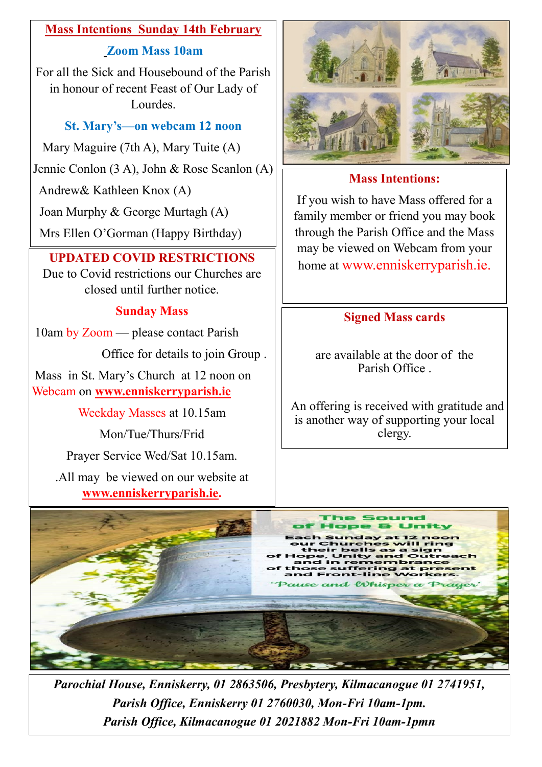### **Mass Intentions Sunday 14th February**

### **Zoom Mass 10am**

For all the Sick and Housebound of the Parish in honour of recent Feast of Our Lady of Lourdes.

# **St. Mary's—on webcam 12 noon**

Mary Maguire (7th A), Mary Tuite (A)

Jennie Conlon (3 A), John & Rose Scanlon (A)

Andrew& Kathleen Knox (A)

Joan Murphy & George Murtagh (A)

Mrs Ellen O'Gorman (Happy Birthday)

Due to Covid restrictions our Churches are closed until further notice.

# **Sunday Mass**

10am by Zoom — please contact Parish

Office for details to join Group .

Mass in St. Mary's Church at 12 noon on Webcam on **www.enniskerryparish.ie**

Weekday Masses at 10.15am

Mon/Tue/Thurs/Frid

Prayer Service Wed/Sat 10.15am.

.All may be viewed on our website at **[www.enniskerryparish.ie.](http://www.enniskerryparish.ie)**



# **Mass Intentions:**

If you wish to have Mass offered for a family member or friend you may book through the Parish Office and the Mass may be viewed on Webcam from your home at www.enniskerryparish.ie. **UPDATED COVID RESTRICTIONS**

# **Signed Mass cards**

are available at the door of the Parish Office .

An offering is received with gratitude and is another way of supporting your local clergy.



*Parochial House, Enniskerry, 01 2863506, Presbytery, Kilmacanogue 01 2741951, Parish Office, Enniskerry 01 2760030, Mon-Fri 10am-1pm. Parish Office, Kilmacanogue 01 2021882 Mon-Fri 10am-1pmn*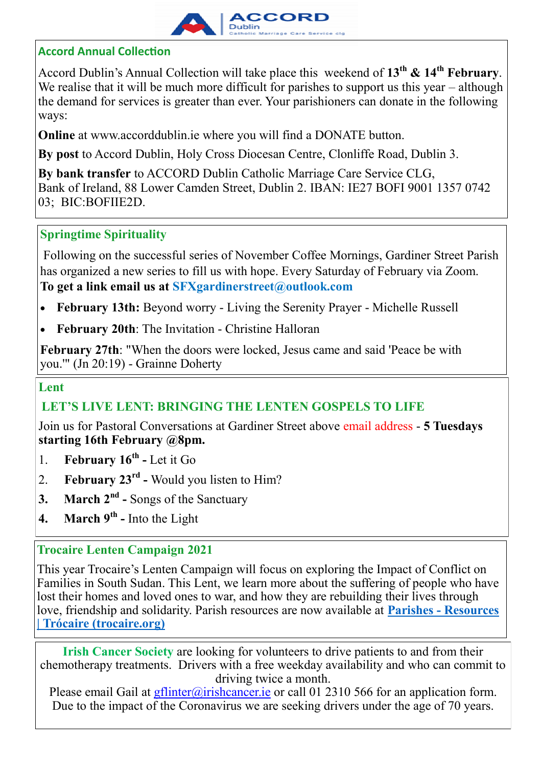

### **Accord Annual Collection**

Accord Dublin's Annual Collection will take place this weekend of **13th & 14th February**. We realise that it will be much more difficult for parishes to support us this year – although the demand for services is greater than ever. Your parishioners can donate in the following ways:

**Online** at [www.accorddublin.ie](http://www.accorddublin.ie) where you will find a DONATE button.

**By post** to Accord Dublin, Holy Cross Diocesan Centre, Clonliffe Road, Dublin 3.

**By bank transfer** to ACCORD Dublin Catholic Marriage Care Service CLG, Bank of Ireland, 88 Lower Camden Street, Dublin 2. IBAN: IE27 BOFI 9001 1357 0742 03; BIC:BOFIIE2D.

### **Springtime Spirituality**

Following on the successful series of November Coffee Mornings, Gardiner Street Parish has organized a new series to fill us with hope. Every Saturday of February via Zoom. **To get a link email us at [SFXgardinerstreet@outlook.com](mailto:SFXgardinerstreet@outlook.com)** 

- **February 13th:** Beyond worry Living the Serenity Prayer Michelle Russell
- **February 20th**: The Invitation Christine Halloran

**February 27th**: "When the doors were locked, Jesus came and said 'Peace be with you.'" (Jn 20:19) - Grainne Doherty

### **Lent**

### **LET'S LIVE LENT: BRINGING THE LENTEN GOSPELS TO LIFE**

Join us for Pastoral Conversations at Gardiner Street above email address - **5 Tuesdays starting 16th February @8pm.**

- 1. **February 16th -** Let it Go
- 2. **February 23rd -** Would you listen to Him?
- **3. March 2nd -** Songs of the Sanctuary
- **4. March 9th -** Into the Light

### **Trocaire Lenten Campaign 2021**

This year Trocaire's Lenten Campaign will focus on exploring the Impact of Conflict on Families in South Sudan. This Lent, we learn more about the suffering of people who have lost their homes and loved ones to war, and how they are rebuilding their lives through love, friendship and solidarity. Parish resources are now available at **Parishes - [Resources](https://www.trocaire.org/our-work/working-in-ireland/parishes/resources/)  [| Trócaire \(trocaire.org\)](https://www.trocaire.org/our-work/working-in-ireland/parishes/resources/)**

**Irish Cancer Society** are looking for volunteers to drive patients to and from their chemotherapy treatments. Drivers with a free weekday availability and who can commit to driving twice a month.

Please email Gail at *gflinter@irishcancer.ie* or call 01 2310 566 for an application form. Due to the impact of the Coronavirus we are seeking drivers under the age of 70 years.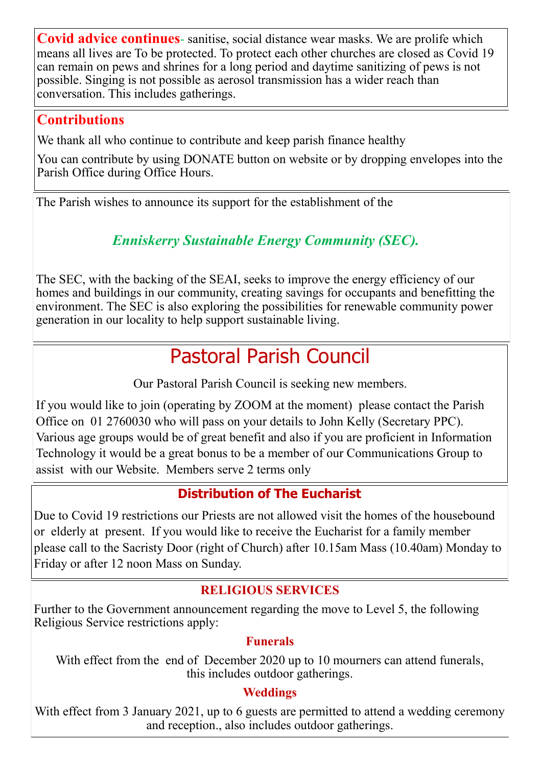**Covid advice continues**- sanitise, social distance wear masks. We are prolife which means all lives are To be protected. To protect each other churches are closed as Covid 19 can remain on pews and shrines for a long period and daytime sanitizing of pews is not possible. Singing is not possible as aerosol transmission has a wider reach than conversation. This includes gatherings.

# **Contributions**

We thank all who continue to contribute and keep parish finance healthy

You can contribute by using DONATE button on website or by dropping envelopes into the Parish Office during Office Hours.

The Parish wishes to announce its support for the establishment of the

# *Enniskerry Sustainable Energy Community (SEC).*

The SEC, with the backing of the SEAI, seeks to improve the energy efficiency of our homes and buildings in our community, creating savings for occupants and benefitting the environment. The SEC is also exploring the possibilities for renewable community power generation in our locality to help support sustainable living.

# Pastoral Parish Council

Our Pastoral Parish Council is seeking new members.

If you would like to join (operating by ZOOM at the moment) please contact the Parish Office on 01 2760030 who will pass on your details to John Kelly (Secretary PPC). Various age groups would be of great benefit and also if you are proficient in Information Technology it would be a great bonus to be a member of our Communications Group to assist with our Website. Members serve 2 terms only

# **Distribution of The Eucharist**

Due to Covid 19 restrictions our Priests are not allowed visit the homes of the housebound or elderly at present. If you would like to receive the Eucharist for a family member please call to the Sacristy Door (right of Church) after 10.15am Mass (10.40am) Monday to Friday or after 12 noon Mass on Sunday.

# **RELIGIOUS SERVICES**

Further to the Government announcement regarding the move to Level 5, the following Religious Service restrictions apply:

### **Funerals**

With effect from the end of December 2020 up to 10 mourners can attend funerals, this includes outdoor gatherings.

# **Weddings**

With effect from 3 January 2021, up to 6 guests are permitted to attend a wedding ceremony and reception., also includes outdoor gatherings.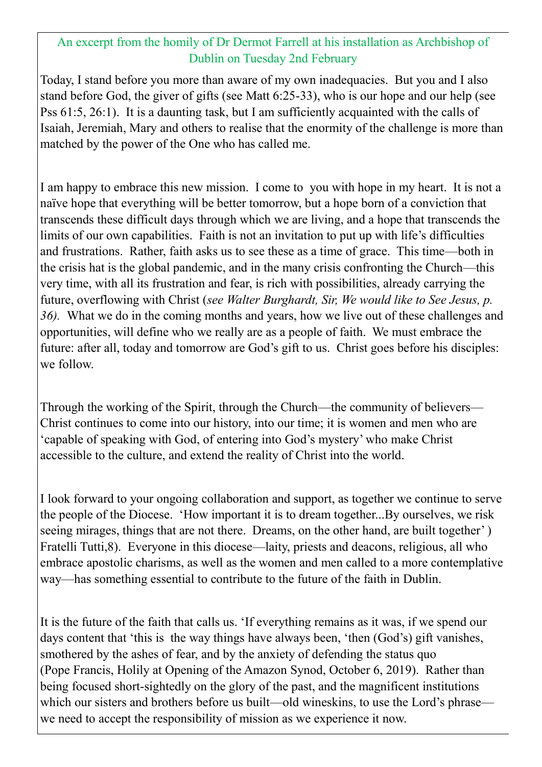### An excerpt from the homily of Dr Dermot Farrell at his installation as Archbishop of Dublin on Tuesday 2nd February

Today, I stand before you more than aware of my own inadequacies. But you and I also stand before God, the giver of gifts (see Matt 6:25-33), who is our hope and our help (see Pss 61:5, 26:1). It is a daunting task, but I am sufficiently acquainted with the calls of Isaiah, Jeremiah, Mary and others to realise that the enormity of the challenge is more than matched by the power of the One who has called me.

I am happy to embrace this new mission. I come to you with hope in my heart. It is not a naïve hope that everything will be better tomorrow, but a hope born of a conviction that transcends these difficult days through which we are living, and a hope that transcends the limits of our own capabilities. Faith is not an invitation to put up with life's difficulties and frustrations. Rather, faith asks us to see these as a time of grace. This time—both in the crisis hat is the global pandemic, and in the many crisis confronting the Church—this very time, with all its frustration and fear, is rich with possibilities, already carrying the future, overflowing with Christ (*see Walter Burghardt, Sir, We would like to See Jesus, p. 36).* What we do in the coming months and years, how we live out of these challenges and opportunities, will define who we really are as a people of faith. We must embrace the future: after all, today and tomorrow are God's gift to us. Christ goes before his disciples: we follow.

Through the working of the Spirit, through the Church—the community of believers— Christ continues to come into our history, into our time; it is women and men who are 'capable of speaking with God, of entering into God's mystery' who make Christ accessible to the culture, and extend the reality of Christ into the world.

I look forward to your ongoing collaboration and support, as together we continue to serve the people of the Diocese. 'How important it is to dream together...By ourselves, we risk seeing mirages, things that are not there. Dreams, on the other hand, are built together') Fratelli Tutti,8). Everyone in this diocese—laity, priests and deacons, religious, all who embrace apostolic charisms, as well as the women and men called to a more contemplative way—has something essential to contribute to the future of the faith in Dublin.

It is the future of the faith that calls us. 'If everything remains as it was, if we spend our days content that 'this is the way things have always been, 'then (God's) gift vanishes, smothered by the ashes of fear, and by the anxiety of defending the status quo (Pope Francis, Holily at Opening of the Amazon Synod, October 6, 2019). Rather than being focused short-sightedly on the glory of the past, and the magnificent institutions which our sisters and brothers before us built—old wineskins, to use the Lord's phrase we need to accept the responsibility of mission as we experience it now.